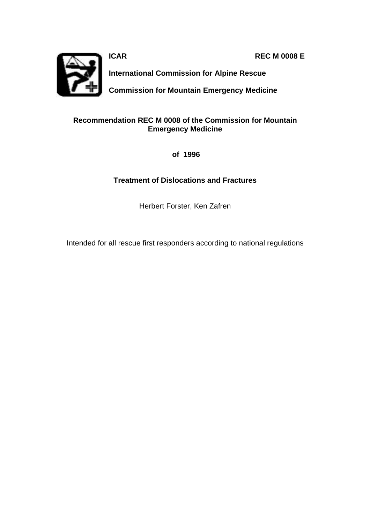**ICAR REC M 0008 E**



**International Commission for Alpine Rescue**

**Commission for Mountain Emergency Medicine**

## **Recommendation REC M 0008 of the Commission for Mountain Emergency Medicine**

 **of 1996**

## **Treatment of Dislocations and Fractures**

Herbert Forster, Ken Zafren

Intended for all rescue first responders according to national regulations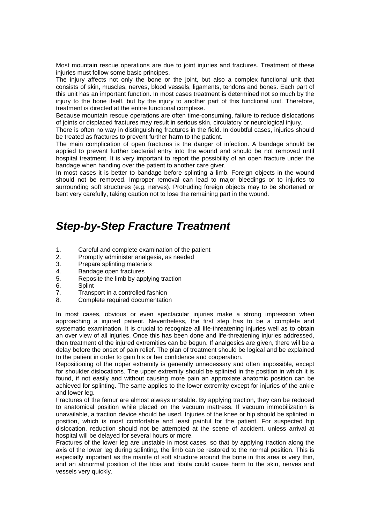Most mountain rescue operations are due to joint injuries and fractures. Treatment of these injuries must follow some basic principes.

The injury affects not only the bone or the joint, but also a complex functional unit that consists of skin, muscles, nerves, blood vessels, ligaments, tendons and bones. Each part of this unit has an important function. In most cases treatment is determined not so much by the injury to the bone itself, but by the injury to another part of this functional unit. Therefore, treatment is directed at the entire functional complexe.

Because mountain rescue operations are often time-consuming, failure to reduce dislocations of joints or displaced fractures may result in serious skin, circulatory or neurological injury.

There is often no way in distinguishing fractures in the field. In doubtful cases, injuries should be treated as fractures to prevent further harm to the patient.

The main complication of open fractures is the danger of infection. A bandage should be applied to prevent further bacterial entry into the wound and should be not removed until hospital treatment. It is very important to report the possibility of an open fracture under the bandage when handing over the patient to another care giver.

In most cases it is better to bandage before splinting a limb. Foreign objects in the wound should not be removed. Improper removal can lead to major bleedings or to injuries to surrounding soft structures (e.g. nerves). Protruding foreign objects may to be shortened or bent very carefully, taking caution not to lose the remaining part in the wound.

## *Step-by-Step Fracture Treatment*

- 1. Careful and complete examination of the patient
- 2. Promptly administer analgesia, as needed<br>3. Prepare splinting materials
- Prepare splinting materials
- 4. Bandage open fractures
- 5. Reposite the limb by applying traction
- 6. Splint
- 7. Transport in a controlled fashion
- 8. Complete required documentation

In most cases, obvious or even spectacular injuries make a strong impression when approaching a injured patient. Nevertheless, the first step has to be a complete and systematic examination. lt is crucial to recognize all life-threatening injuries well as to obtain an over view of all injuries. Once this has been done and life-threatening injuries addressed, then treatment of the injured extremities can be begun. If analgesics are given, there will be a delay before the onset of pain relief. The plan of treatment should be logical and be explained to the patient in order to gain his or her confidence and cooperation.

Repositioning of the upper extremity is generally unnecessary and often impossible, except for shoulder dislocations. The upper extremity should be splinted in the position in which it is found, if not easily and without causing more pain an approxiate anatomic position can be achieved for splinting. The same applies to the lower extremity except for injuries of the ankle and lower leg.

Fractures of the femur are almost always unstable. By applying traction, they can be reduced to anatomical position while placed on the vacuum mattress. If vacuum immobilization is unavailable, a traction device should be used. Injuries of the knee or hip should be splinted in position, which is most comfortable and least painful for the patient. For suspected hip dislocation, reduction should not be attempted at the scene of accident, unless arrival at hospital will be delayed for several hours or more.

Fractures of the lower leg are unstable in most cases, so that by applying traction along the axis of the lower leg during splinting, the limb can be restored to the normal position. This is especially important as the mantle of soft structure around the bone in this area is very thin, and an abnormal position of the tibia and fibula could cause harm to the skin, nerves and vessels very quickly.